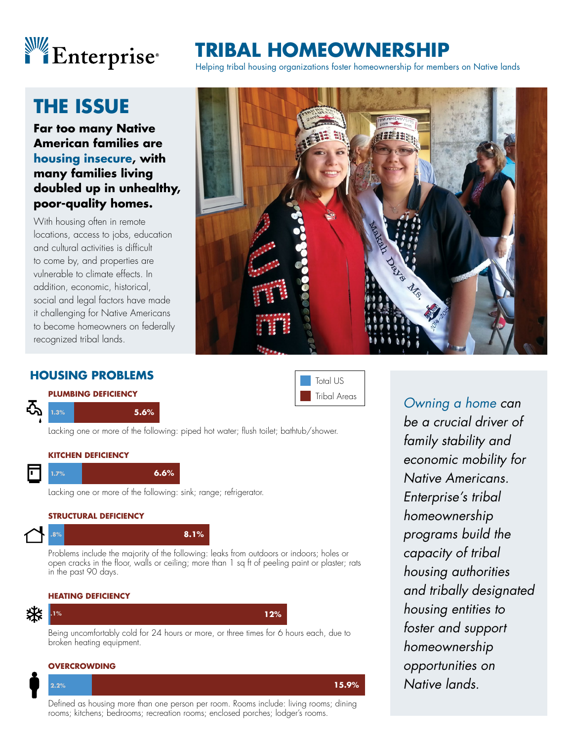

## **THE ISSUE**

**Far too many Native American families are housing insecure, with many families living doubled up in unhealthy, poor-quality homes.**

With housing often in remote locations, access to jobs, education and cultural activities is difficult to come by, and properties are vulnerable to climate effects. In addition, economic, historical, social and legal factors have made it challenging for Native Americans to become homeowners on federally recognized tribal lands.

# **BAL HOMEOWNERSHI**

Helping tribal housing organizations foster homeownership for members on Native lands



### **HOUSING PROBLEMS**



### **1.3% 5.6%**

| ■ Total US   |
|--------------|
| Tribal Areas |

Lacking one or more of the following: piped hot water; flush toilet; bathtub/shower.



Lacking one or more of the following: sink; range; refrigerator.

#### **STRUCTURAL DEFICIENCY**

#### **.8% 8.1%**

Problems include the majority of the following: leaks from outdoors or indoors; holes or open cracks in the floor, walls or ceiling; more than 1 sq ft of peeling paint or plaster; rats in the past 90 days.

#### **HEATING DEFICIENCY**



**.1% 12%**

Being uncomfortably cold for 24 hours or more, or three times for 6 hours each, due to broken heating equipment.

#### **OVERCROWDING**



Defined as housing more than one person per room. Rooms include: living rooms; dining rooms; kitchens; bedrooms; recreation rooms; enclosed porches; lodger's rooms.

*Owning a home can be a crucial driver of family stability and economic mobility for Native Americans. Enterprise's tribal homeownership programs build the capacity of tribal housing authorities and tribally designated housing entities to foster and support homeownership opportunities on Native lands.*